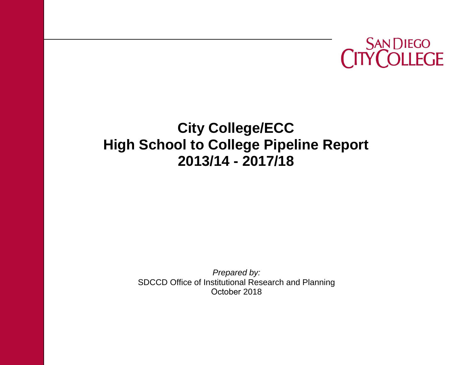

# **City College/ECC High School to College Pipeline Report 2013/14 - 2017/18**

*Prepared by:*  SDCCD Office of Institutional Research and Planning October 2018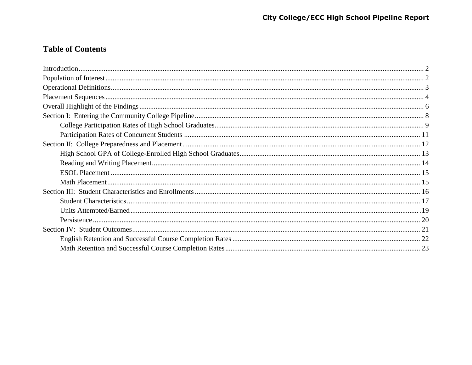## **Table of Contents**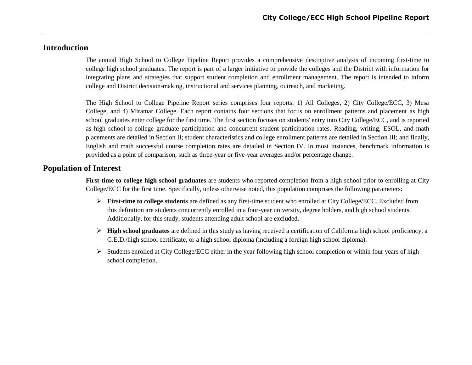## <span id="page-2-0"></span>**Introduction**

The annual High School to College Pipeline Report provides a comprehensive descriptive analysis of incoming first-time to college high school graduates. The report is part of a larger initiative to provide the colleges and the District with information for integrating plans and strategies that support student completion and enrollment management. The report is intended to inform college and District decision-making, instructional and services planning, outreach, and marketing.

The High School to College Pipeline Report series comprises four reports: 1) All Colleges, 2) City College/ECC, 3) Mesa College, and 4) Miramar College. Each report contains four sections that focus on enrollment patterns and placement as high school graduates enter college for the first time. The first section focuses on students' entry into City College/ECC, and is reported as high school-to-college graduate participation and concurrent student participation rates. Reading, writing, ESOL, and math placements are detailed in Section II; student characteristics and college enrollment patterns are detailed in Section III; and finally, English and math successful course completion rates are detailed in Section IV. In most instances, benchmark information is provided as a point of comparison, such as three-year or five-year averages and/or percentage change.

## <span id="page-2-1"></span>**Population of Interest**

**First-time to college high school graduates** are students who reported completion from a high school prior to enrolling at City College/ECC for the first time. Specifically, unless otherwise noted, this population comprises the following parameters:

- **First-time to college students** are defined as any first-time student who enrolled at City College/ECC. Excluded from this definition are students concurrently enrolled in a four-year university, degree holders, and high school students. Additionally, for this study, students attending adult school are excluded.
- **High school graduates** are defined in this study as having received a certification of California high school proficiency, a G.E.D./high school certificate, or a high school diploma (including a foreign high school diploma).
- $\triangleright$  Students enrolled at City College/ECC either in the year following high school completion or within four years of high school completion.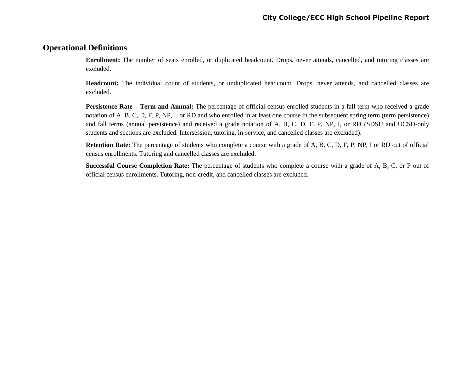## <span id="page-3-0"></span>**Operational Definitions**

**Enrollment:** The number of seats enrolled, or duplicated headcount. Drops, never attends, cancelled, and tutoring classes are excluded.

**Headcount:** The individual count of students, or unduplicated headcount. Drops, never attends, and cancelled classes are excluded.

**Persistence Rate – Term and Annual:** The percentage of official census enrolled students in a fall term who received a grade notation of A, B, C, D, F, P, NP, I, or RD and who enrolled in at least one course in the subsequent spring term (term persistence) and fall terms (annual persistence) and received a grade notation of A, B, C, D, F, P, NP, I, or RD (SDSU and UCSD-only students and sections are excluded. Intersession, tutoring, in-service, and cancelled classes are excluded).

**Retention Rate:** The percentage of students who complete a course with a grade of A, B, C, D, F, P, NP, I or RD out of official census enrollments. Tutoring and cancelled classes are excluded.

**Successful Course Completion Rate:** The percentage of students who complete a course with a grade of A, B, C, or P out of official census enrollments. Tutoring, non-credit, and cancelled classes are excluded.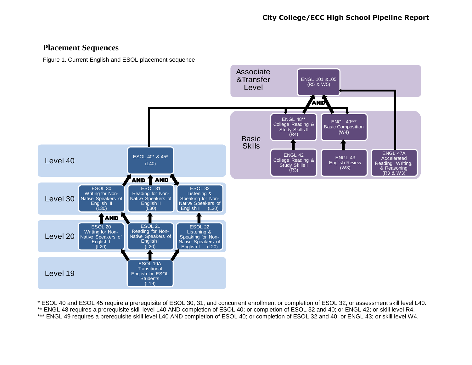## <span id="page-4-0"></span>**Placement Sequences**

Figure 1. Current English and ESOL placement sequence



\* ESOL 40 and ESOL 45 require a prerequisite of ESOL 30, 31, and concurrent enrollment or completion of ESOL 32, or assessment skill level L40. \*\* ENGL 48 requires a prerequisite skill level L40 AND completion of ESOL 40; or completion of ESOL 32 and 40; or ENGL 42; or skill level R4. \*\*\* ENGL 49 requires a prerequisite skill level L40 AND completion of ESOL 40; or completion of ESOL 32 and 40; or ENGL 43; or skill level W4.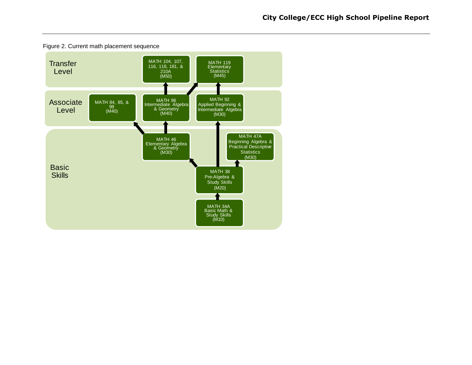

Figure 2. Current math placement sequence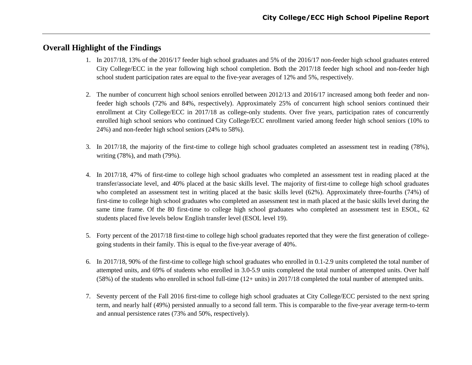## <span id="page-6-0"></span>**Overall Highlight of the Findings**

- 1. In 2017/18, 13% of the 2016/17 feeder high school graduates and 5% of the 2016/17 non-feeder high school graduates entered City College/ECC in the year following high school completion. Both the 2017/18 feeder high school and non-feeder high school student participation rates are equal to the five-year averages of 12% and 5%, respectively.
- 2. The number of concurrent high school seniors enrolled between 2012/13 and 2016/17 increased among both feeder and nonfeeder high schools (72% and 84%, respectively). Approximately 25% of concurrent high school seniors continued their enrollment at City College/ECC in 2017/18 as college-only students. Over five years, participation rates of concurrently enrolled high school seniors who continued City College/ECC enrollment varied among feeder high school seniors (10% to 24%) and non-feeder high school seniors (24% to 58%).
- 3. In 2017/18, the majority of the first-time to college high school graduates completed an assessment test in reading (78%), writing (78%), and math (79%).
- 4. In 2017/18, 47% of first-time to college high school graduates who completed an assessment test in reading placed at the transfer/associate level, and 40% placed at the basic skills level. The majority of first-time to college high school graduates who completed an assessment test in writing placed at the basic skills level (62%). Approximately three-fourths (74%) of first-time to college high school graduates who completed an assessment test in math placed at the basic skills level during the same time frame. Of the 80 first-time to college high school graduates who completed an assessment test in ESOL, 62 students placed five levels below English transfer level (ESOL level 19).
- 5. Forty percent of the 2017/18 first-time to college high school graduates reported that they were the first generation of collegegoing students in their family. This is equal to the five-year average of 40%.
- 6. In 2017/18, 90% of the first-time to college high school graduates who enrolled in 0.1-2.9 units completed the total number of attempted units, and 69% of students who enrolled in 3.0-5.9 units completed the total number of attempted units. Over half (58%) of the students who enrolled in school full-time (12+ units) in 2017/18 completed the total number of attempted units.
- 7. Seventy percent of the Fall 2016 first-time to college high school graduates at City College/ECC persisted to the next spring term, and nearly half (49%) persisted annually to a second fall term. This is comparable to the five-year average term-to-term and annual persistence rates (73% and 50%, respectively).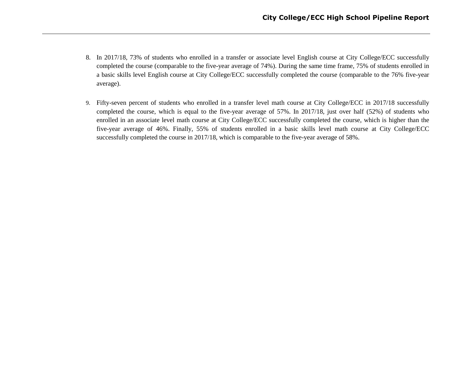- 8. In 2017/18, 73% of students who enrolled in a transfer or associate level English course at City College/ECC successfully completed the course (comparable to the five-year average of 74%). During the same time frame, 75% of students enrolled in a basic skills level English course at City College/ECC successfully completed the course (comparable to the 76% five-year average).
- 9. Fifty-seven percent of students who enrolled in a transfer level math course at City College/ECC in 2017/18 successfully completed the course, which is equal to the five-year average of 57%. In 2017/18, just over half (52%) of students who enrolled in an associate level math course at City College/ECC successfully completed the course, which is higher than the five-year average of 46%. Finally, 55% of students enrolled in a basic skills level math course at City College/ECC successfully completed the course in 2017/18, which is comparable to the five-year average of 58%.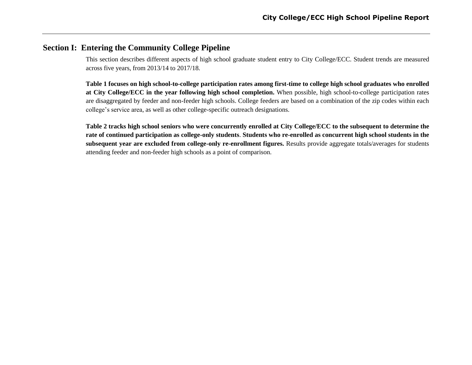## <span id="page-8-0"></span>**Section I: Entering the Community College Pipeline**

This section describes different aspects of high school graduate student entry to City College/ECC. Student trends are measured across five years, from 2013/14 to 2017/18.

**Table 1 focuses on high school-to-college participation rates among first-time to college high school graduates who enrolled at City College/ECC in the year following high school completion.** When possible, high school-to-college participation rates are disaggregated by feeder and non-feeder high schools. College feeders are based on a combination of the zip codes within each college's service area, as well as other college-specific outreach designations.

**Table 2 tracks high school seniors who were concurrently enrolled at City College/ECC to the subsequent to determine the rate of continued participation as college-only students**. **Students who re-enrolled as concurrent high school students in the subsequent year are excluded from college-only re-enrollment figures.** Results provide aggregate totals/averages for students attending feeder and non-feeder high schools as a point of comparison.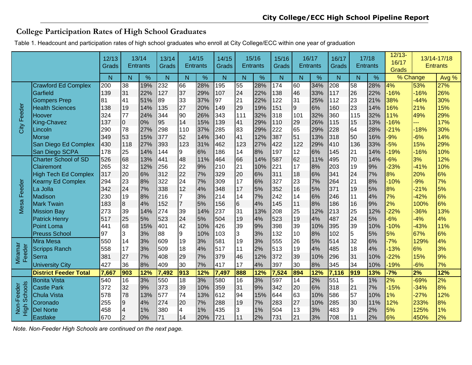## **College Participation Rates of High School Graduates**

Table 1. Headcount and participation rates of high school graduates who enroll at City College/ECC within one year of graduation

|                       |                              | 12/13<br>Grads | 13/14<br><b>Entrants</b> |     | 13/14<br>Grads |                         | 14/15<br><b>Entrants</b> | 14/15<br>Grads |              | 15/16<br><b>Entrants</b> | 15/16<br>Grads | 16/17          | <b>Entrants</b> | 16/17<br>Grads   |     | 17/18<br><b>Entrants</b> | $12/13 -$<br>16/17<br>Grads |        | 13/14-17/18<br><b>Entrants</b> |
|-----------------------|------------------------------|----------------|--------------------------|-----|----------------|-------------------------|--------------------------|----------------|--------------|--------------------------|----------------|----------------|-----------------|------------------|-----|--------------------------|-----------------------------|--------|--------------------------------|
|                       |                              | $\mathsf{N}$   | N                        | %   | N              | N.                      | %                        | $\mathsf{N}$   | $\mathsf{N}$ | %                        | N              | N.             | %               | $\mathsf{N}$     | N   | %                        | % Change                    |        | Avg %                          |
|                       | <b>Crawford Ed Complex</b>   | 200            | 38                       | 19% | 232            | 66                      | 28%                      | 195            | 55           | 28%                      | 174            | 60             | 34%             | 208              | 58  | 28%                      | 4%                          | 53%    | 27%                            |
|                       | Garfield                     | 139            | 31                       | 22% | 127            | 37                      | 29%                      | 107            | 24           | 22%                      | 138            | 46             | 33%             | 117              | 26  | 22%                      | $-16%$                      | $-16%$ | 26%                            |
|                       | <b>Gompers Prep</b>          | 81             | 41                       | 51% | 89             | 33                      | 37%                      | 97             | 21           | 22%                      | 122            | 31             | 25%             | 112              | 23  | 21%                      | 38%                         | $-44%$ | 30%                            |
| Feeder                | <b>Health Sciences</b>       | 138            | 19                       | 14% | 135            | 27                      | 20%                      | 149            | 29           | 19%                      | 151            | $\overline{9}$ | 6%              | 160              | 23  | 14%                      | 16%                         | 21%    | 15%                            |
|                       | Hoover                       | 324            | 77                       | 24% | 344            | 90                      | 26%                      | 343            | 111          | 32%                      | 318            | 101            | 32%             | 360              | 115 | 32%                      | 11%                         | 49%    | 29%                            |
|                       | <b>King-Chavez</b>           | 137            | $\overline{0}$           | 0%  | 95             | 14                      | 15%                      | 139            | 41           | 29%                      | 110            | 29             | 26%             | 115              | 15  | 13%                      | $-16%$                      | ---    | 17%                            |
| City                  | Lincoln                      | 290            | 78                       | 27% | 298            | 110                     | 37%                      | 285            | 83           | 29%                      | 222            | 65             | 29%             | 228              | 64  | 28%                      | $-21%$                      | $-18%$ | 30%                            |
|                       | <b>Morse</b>                 | 349            | 53                       | 15% | 377            | 52                      | 14%                      | 340            | 41           | 12%                      | 387            | 51             | 13%             | 318              | 50  | 16%                      | $-9%$                       | $-6%$  | 14%                            |
|                       | San Diego Ed Complex         | 430            | 118                      | 27% | 393            | 123                     | 31%                      | 462            | 123          | 27%                      | 422            | 122            | 29%             | 410              | 136 | 33%                      | $-5%$                       | 15%    | 29%                            |
|                       | San Diego SCPA               | 178            | 25                       | 14% | 144            | 9                       | 6%                       | 186            | 14           | 8%                       | 197            | 12             | 6%              | 145              | 21  | 14%                      | $-19%$                      | $-16%$ | 10%                            |
|                       | <b>Charter School of SD</b>  | 526            | 68                       | 13% | 441            | 48                      | 11%                      | 464            | 66           | 14%                      | 587            | 62             | 11%             | 495              | 70  | 14%                      | $-6%$                       | 3%     | 12%                            |
|                       | Clairemont                   | 265            | 32                       | 12% | 256            | 22                      | 9%                       | 210            | 21           | 10%                      | 221            | 17             | 8%              | 203              | 19  | 9%                       | $-23%$                      | $-41%$ | 10%                            |
|                       | <b>High Tech Ed Complex</b>  | 317            | 20                       | 6%  | 312            | 22                      | 7%                       | 329            | 20           | 6%                       | 311            | 18             | 6%              | 341              | 24  | 7%                       | 8%                          | 20%    | 6%                             |
| Feeder                | <b>Kearny Ed Complex</b>     | 294            | 23                       | 8%  | 322            | 24                      | 7%                       | 309            | 17           | 6%                       | 327            | 23             | 7%              | 264              | 21  | 8%                       | $-10%$                      | $-9%$  | 7%                             |
|                       | La Jolla                     | 342            | 24                       | 7%  | 338            | 12                      | 4%                       | 348            | 17           | 5%                       | 352            | 16             | 5%              | 371              | 19  | 5%                       | 8%                          | $-21%$ | 5%                             |
|                       | Madison                      | 230            | 19                       | 8%  | 216            | $\overline{7}$          | 3%                       | 214            | 14           | 7%                       | 242            | 14             | 6%              | 246              | 11  | 4%                       | 7%                          | $-42%$ | 6%                             |
| Mesa                  | <b>Mark Twain</b>            | 183            | $\bf{8}$                 | 4%  | 152            | $\boldsymbol{7}$        | 5%                       | 156            | $\,$ 6 $\,$  | 4%                       | 145            | 11             | 8%              | 186              | 16  | 9%                       | 2%                          | 100%   | 6%                             |
|                       | <b>Mission Bay</b>           | 273            | 39                       | 14% | 274            | 39                      | 14%                      | 237            | 31           | 13%                      | 208            | 25             | 12%             | 213              | 25  | 12%                      | $-22%$                      | $-36%$ | 13%                            |
|                       | <b>Patrick Henry</b>         | 517            | 25                       | 5%  | 523            | 24                      | 5%                       | 504            | 19           | 4%                       | 523            | 19             | 4%              | 487              | 24  | 5%                       | $-6%$                       | $-4%$  | 4%                             |
|                       | Point Loma                   | 441            | 68                       | 15% | 401            | 42                      | 10%                      | 426            | 39           | 9%                       | 398            | 39             | 10%             | 395              | 39  | 10%                      | $-10%$                      | $-43%$ | 11%                            |
|                       | <b>Preuss School</b>         | 97             | 3                        | 3%  | 88             | $\overline{9}$          | 10%                      | 103            | 3            | 3%                       | 132            | 10             | 8%              | 102              | 5   | 5%                       | 5%                          | 67%    | 6%                             |
|                       | <b>Mira Mesa</b>             | 550            | 14                       | 3%  | 609            | 19                      | 3%                       | 581            | 19           | 3%                       | 555            | 26             | 5%              | 514              | 32  | 6%                       | $-7%$                       | 129%   | 4%                             |
| Miramar<br>Feeder     | <b>Scripps Ranch</b>         | 558            | 17                       | 3%  | 509            | 18                      | 4%                       | 517            | 11           | 2%                       | 513            | 19             | 4%              | 485              | 18  | 4%                       | $-13%$                      | 6%     | 3%                             |
|                       | Serra                        | 381            | 27                       | 7%  | 408            | 29                      | 7%                       | 379            | 46           | 12%                      | 372            | 39             | 10%             | 296              | 31  | 10%                      | $-22%$                      | 15%    | 9%                             |
|                       | <b>University City</b>       | 427            | 36                       | 8%  | 409            | 30                      | 7%                       | 417            | 17           | 4%                       | 397            | 30             | 8%              | 345              | 34  | 10%                      | $-19%$                      | $-6%$  | 7%                             |
|                       | <b>District Feeder Total</b> | 7,667          | 903                      | 12% | 7,492          | 913                     | 12%                      | 7,497          | 888          | 12%                      | 7,524          | 894            | 12%             | 7,116            | 919 | 13%                      | $-7%$                       | 2%     | 12%                            |
|                       | <b>Bonita Vista</b>          | 540            | $\overline{16}$          | 3%  | 550            | 18                      | 3%                       | 580            | 16           | 3%                       | 597            | 14             | 2%              | $\overline{551}$ | 5   | 1%                       | 2%                          | $-69%$ | 2%                             |
|                       | <b>Castle Park</b>           | 372            | 32                       | 9%  | 373            | 39                      | 10%                      | 359            | 31           | 9%                       | 342            | 20             | 6%              | 318              | 21  | 7%                       | $-15%$                      | $-34%$ | 8%                             |
| Schools<br>Non-Feeder | <b>Chula Vista</b>           | 578            | 78                       | 13% | 577            | 74                      | 13%                      | 612            | 94           | 15%                      | 644            | 63             | 10%             | 586              | 57  | 10%                      | 1%                          | $-27%$ | 12%                            |
|                       | Coronado                     | 255            | 9                        | 4%  | 274            | 20                      | 7%                       | 288            | 19           | 7%                       | 283            | 27             | 10%             | 285              | 30  | 11%                      | 12%                         | 233%   | 8%                             |
| High                  | <b>Del Norte</b>             | 458            | $\overline{4}$           | 1%  | 380            | $\overline{\mathbf{4}}$ | 1%                       | 435            | 3            | 1%                       | 504            | 13             | 3%              | 483              | 9   | 2%                       | 5%                          | 125%   | 1%                             |
|                       | <b>Eastlake</b>              | 670            | $\overline{2}$           | 0%  | 71             | 14                      | 20%                      | 721            | 11           | 2%                       | 731            | 21             | 3%              | 708              | 11  | 2%                       | 6%                          | 450%   | 2%                             |

*Note. Non-Feeder High Schools are continued on the next page.*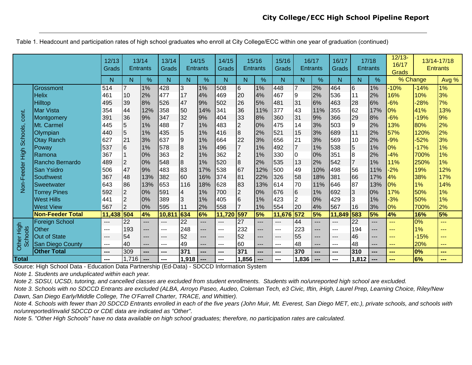Table 1. Headcount and participation rates of high school graduates who enroll at City College/ECC within one year of graduation (continued)

|                |                         | 12/13<br>Grads | 13/14<br>Entrants |                | 13/14<br>Grads | <b>Entrants</b>          | 14/15 | 14/15<br>Grads | 15/16<br><b>Entrants</b> |               | 15/16<br>Grads | Entrants        | 16/17                        | 16/17<br>Grads |                | 17/18<br>Entrants | $12/13 -$<br>16/17<br><b>Grads</b> |        | 13/14-17/18<br><b>Entrants</b> |
|----------------|-------------------------|----------------|-------------------|----------------|----------------|--------------------------|-------|----------------|--------------------------|---------------|----------------|-----------------|------------------------------|----------------|----------------|-------------------|------------------------------------|--------|--------------------------------|
|                |                         | N              | N                 | $\frac{0}{0}$  | N              | N                        | $\%$  | N              | N                        | $\frac{9}{6}$ | N              | N               | %                            | N              | N              | %                 | % Change                           |        | Avg %                          |
|                | Grossmont               | 514            | $\overline{7}$    | 1%             | 428            | 3                        | 1%    | 508            | 6                        | 1%            | 448            | $\overline{7}$  | 2%                           | 464            | 6              | 1%                | $-10%$                             | $-14%$ | 1%                             |
|                | <b>Helix</b>            | 461            | 10                | 2%             | 477            | 17                       | 4%    | 469            | 20                       | 4%            | 467            | 9               | 2%                           | 536            | 11             | 2%                | 16%                                | 10%    | 3%                             |
|                | <b>Hilltop</b>          | 495            | 39                | 8%             | 526            | 47                       | 9%    | 502            | 26                       | 5%            | 481            | 31              | 6%                           | 463            | 28             | 6%                | $-6%$                              | $-28%$ | 7%                             |
|                | <b>Mar Vista</b>        | 354            | 44                | 12%            | 358            | 50                       | 14%   | 341            | 36                       | 11%           | 377            | 43              | 11%                          | 355            | 62             | 17%               | 0%                                 | 41%    | 13%                            |
| cont.          | Montgomery              | 391            | 36                | 9%             | 347            | 32                       | 9%    | 404            | 33                       | 8%            | 360            | 31              | 9%                           | 366            | 29             | 8%                | $-6%$                              | $-19%$ | 9%                             |
|                | Mt. Carmel              | 445            | 5                 | 1%             | 488            | $\overline{7}$           | 1%    | 483            | $\overline{2}$           | 0%            | 475            | 14              | 3%                           | 503            | 9              | 2%                | 13%                                | 80%    | 2%                             |
| Schools,       | Olympian                | 440            | 5                 | 1%             | 435            | 5                        | 1%    | 416            | $\bf 8$                  | 2%            | 521            | 15              | 3%                           | 689            | 11             | 2%                | 57%                                | 120%   | 2%                             |
|                | <b>Otay Ranch</b>       | 627            | 21                | 3%             | 637            | $9\,$                    | 1%    | 664            | 22                       | 3%            | 656            | 21              | 3%                           | 569            | 10             | 2%                | $-9%$                              | $-52%$ | 3%                             |
|                | Poway                   | 537            | 6                 | 1%             | 578            | $\bf{8}$                 | 1%    | 496            | $\overline{7}$           | 1%            | 492            | $\overline{7}$  | 1%                           | 538            | $\overline{5}$ | 1%                | 0%                                 | $-17%$ | 1%                             |
| 동<br>도         | Ramona                  | 367            |                   | 0%             | 363            | $\overline{2}$           | 1%    | 362            | $\overline{2}$           | 1%            | 330            | $\Omega$        | 0%                           | 351            | 8              | 2%                | $-4%$                              | 700%   | 1%                             |
|                | Rancho Bernardo         | 489            | $\overline{2}$    | 0%             | 548            | $\bf8$                   | 1%    | 520            | $\bf 8$                  | 2%            | 535            | 13              | 2%                           | 542            | $\overline{7}$ | 1%                | 11%                                | 250%   | 1%                             |
|                | <b>San Ysidro</b>       | 506            | 47                | 9%             | 483            | 83                       | 17%   | 538            | 67                       | 12%           | 500            | 49              | 10%                          | 498            | 56             | 11%               | $-2%$                              | 19%    | 12%                            |
| Non-Feeder     | Southwest               | 367            | 48                | 13%            | 382            | 60                       | 16%   | 374            | 81                       | 22%           | 326            | 58              | 18%                          | 381            | 66             | 17%               | 4%                                 | 38%    | 17%                            |
|                | <b>Sweetwater</b>       | 643            | 86                | 13%            | 653            | 116                      | 18%   | 628            | 83                       | 13%           | 614            | 70              | 11%                          | 646            | 87             | 13%               | 0%                                 | 1%     | 14%                            |
|                | <b>Torrey Pines</b>     | 592            | $\overline{2}$    | 0%             | 591            | $\overline{\mathcal{A}}$ | 1%    | 700            | $\overline{2}$           | 0%            | 676            | $6\phantom{.}6$ | 1%                           | 692            | $\overline{3}$ | 0%                | 17%                                | 50%    | 1%                             |
|                | <b>West Hills</b>       | 441            | $\overline{2}$    | 0%             | 389            | 3                        | 1%    | 405            | 6                        | 1%            | 423            | $\overline{2}$  | 0%                           | 429            | 3              | 1%                | $-3%$                              | 50%    | 1%                             |
|                | <b>West View</b>        | 567            | $\overline{2}$    | 0%             | 595            | 11                       | 2%    | 558            | 7                        | 1%            | 554            | 20              | 4%                           | 567            | 16             | 3%                | 0%                                 | 700%   | 2%                             |
|                | <b>Non-Feeder Total</b> | 11,438         | 504               | 4%             | 10,811         | 634                      | 6%    | 11,720         | 597                      | 5%            | 11,676         | 572             | 5%                           | 11,849         | 583            | 5%                | 4%                                 | 16%    | 5%                             |
|                | <b>Foreign School</b>   | ---            | 22                | $---$          | $---$          | 22                       | $---$ | $---$          | 27                       | $\cdots$      | $---$          | 44              | ---                          | $---$          | 22             | $---$             | ---                                | 0%     | ---                            |
| $\frac{5}{10}$ | Other                   | $---$          | 193               | ---            | ---            | 248                      | ---   | ---            | 232                      | $---$         | $---$          | 223             | ---                          | $---$          | 194            | ---               | ---                                | 1%     | ---                            |
| <b>Schools</b> | Out of State            | ---            | 54                | ---            | ---            | 52                       | ---   | ---            | 52                       | $---$         | $---$          | 55              | ---                          | $---$          | 46             | ---               | ---                                | $-15%$ | ---                            |
| Other          | San Diego County        | ---            | 40                | ---            | $---$          | 49                       | $---$ | $---$          | 60                       | $---$         | $---$          | 48              | ---                          | $---$          | 48             | ---               | $---$                              | 20%    | ---                            |
|                | <b>Other Total</b>      | ---            | 309               | ---            | ---            | 371                      | ---   | ---            | 371                      | ---           | ---            | 370             | ---                          | $---$          | 310            | ---               | ---                                | 0%     | ---                            |
| <b>Total</b>   |                         | ---            | 1,716             | $\overline{a}$ | ---            | 1,918                    | $---$ | ---            | 1,856                    | ---           | ---            | 1,836           | $\qquad \qquad \textbf{---}$ | ---            | 1,812          | ---               | ---                                | 6%     | ---                            |

Source: High School Data - Education Data Partnership (Ed-Data) - SDCCD Information System

*Note 1. Students are unduplicated within each year.*

*Note 2. SDSU, UCSD, tutoring, and cancelled classes are excluded from student enrollments. Students with no/unreported high school are excluded.*

*Note 3. Schools with no SDCCD Entrants are excluded (ALBA, Arroyo Paseo, Audeo, Coleman Tech, e3 Civic, Iftin, iHigh, Laurel Prep, Learning Choice, Riley/New Dawn, San Diego Early/Middle College, The O'Farrell Charter, TRACE, and Whittier).*

*Note 4. Schools with fewer than 20 SDCCD Entrants enrolled in each of the five years (John Muir, Mt. Everest, San Diego MET, etc.), private schools, and schools with no/unreported/invalid SDCCD or CDE data are indicated as "Other".*

*Note 5. "Other High Schools" have no data available on high school graduates; therefore, no participation rates are calculated.*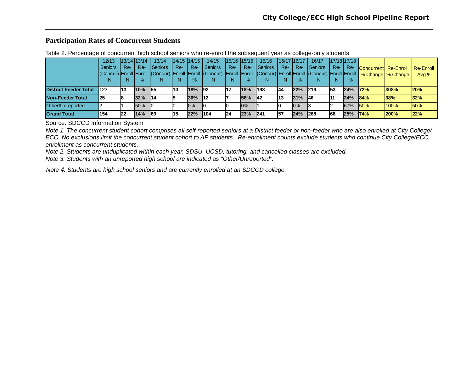#### **Participation Rates of Concurrent Students**

|  |  | Table 2. Percentage of concurrent high school seniors who re-enroll the subsequent year as college-only students |
|--|--|------------------------------------------------------------------------------------------------------------------|
|  |  |                                                                                                                  |

|                              | 12/13     |     | 13/14 13/14 | 13/14          |       | 14/15 14/15 | 14/15          | 15/16 15/16 |      | 15/16   | $16/17$ 16/17 |       | 16/17     |            | 17/18 17/18 |                             |                                                                                                                                          |           |
|------------------------------|-----------|-----|-------------|----------------|-------|-------------|----------------|-------------|------|---------|---------------|-------|-----------|------------|-------------|-----------------------------|------------------------------------------------------------------------------------------------------------------------------------------|-----------|
|                              | l Seniors | Re- | Re-         | <b>Seniors</b> | $Re-$ | $Re-$       | <b>Seniors</b> | $Re-$       | Re-  | Seniors | $Re-$         | $Re-$ | I Seniors | $Re-$      | $Re-$       | <b>Concurrent Re-Enroll</b> |                                                                                                                                          | Re-Enroll |
|                              |           |     |             |                |       |             |                |             |      |         |               |       |           |            |             |                             | (Concur) Enroll Enroll (Concur) Enroll Enroll (Concur) Enroll Enroll (Concur) Enroll Enroll (Concur) Enroll Enroll   % Change   % Change | Avg %     |
|                              | N         | N   | %           | N              |       | %           |                | N.          | $\%$ | N       | N             | $\%$  |           | N          | $\%$        |                             |                                                                                                                                          |           |
| <b>District Feeder Total</b> | 127       | 13  | 10%         | 55             | 10    | 18%         | <b>92</b>      |             | 18%  | 198     | 44            | 22%   | 219       | 53         | 24%         | 172%                        | 308%                                                                                                                                     | 20%       |
| Non-Feeder Total             | 125       |     | 32%         | 14             |       | 36%         | $ 12\rangle$   |             | 58%  | 42      | 13            | 31%   | - 146     | <b>111</b> | 24%         | 84%                         | 38%                                                                                                                                      | 32%       |
| Other/Unreported             |           |     | 50%         |                |       | 0%          |                |             | 0%   |         |               | 0%    |           |            | 67%         | 150%                        | 100%                                                                                                                                     | 50%       |
| <b>Grand Total</b>           | 154       | 22  | 14%         | <b>69</b>      | 15    | 22%         | 104            | 24          | 23%  | 241     | 157           | 24%   | 268       | 166        | 25%         | 174%                        | <b>200%</b>                                                                                                                              | 22%       |

Source. SDCCD Information System

*Note 1. The concurrent student cohort comprises all self-reported seniors at a District feeder or non-feeder who are also enrolled at City College/ ECC. No exclusions limit the concurrent student cohort to AP students. Re-enrollment counts exclude students who continue City College/ECC enrollment as concurrent students.*

*Note 2. Students are unduplicated within each year. SDSU, UCSD, tutoring, and cancelled classes are excluded.*

*Note 3. Students with an unreported high school are indicated as "Other/Unreported".*

*Note 4. Students are high school seniors and are currently enrolled at an SDCCD college.*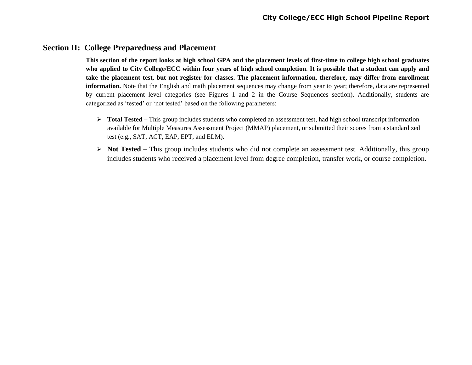## <span id="page-12-0"></span>**Section II: College Preparedness and Placement**

**This section of the report looks at high school GPA and the placement levels of first-time to college high school graduates who applied to City College/ECC within four years of high school completion**. **It is possible that a student can apply and take the placement test, but not register for classes. The placement information, therefore, may differ from enrollment information.** Note that the English and math placement sequences may change from year to year; therefore, data are represented by current placement level categories (see Figures 1 and 2 in the Course Sequences section). Additionally, students are categorized as 'tested' or 'not tested' based on the following parameters:

- **Total Tested**  This group includes students who completed an assessment test, had high school transcript information available for Multiple Measures Assessment Project (MMAP) placement, or submitted their scores from a standardized test (e.g., SAT, ACT, EAP, EPT, and ELM).
- **EXECU** From Fraction This group includes students who did not complete an assessment test. Additionally, this group includes students who received a placement level from degree completion, transfer work, or course completion.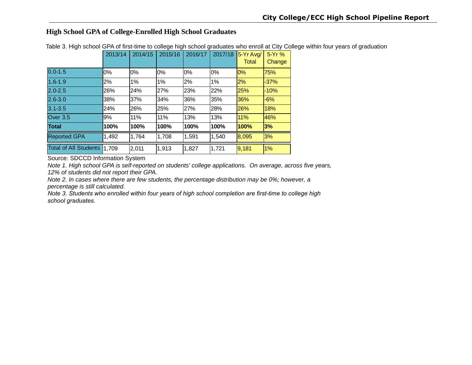## **High School GPA of College-Enrolled High School Graduates**

|                             | 2013/14 | 2014/15 | 2015/16 | 2016/17 | 2017/18 | 5-Yr Avg/<br><b>Total</b> | 5-Yr%<br>Change |
|-----------------------------|---------|---------|---------|---------|---------|---------------------------|-----------------|
| $0.0 - 1.5$                 | 0%      | 0%      | 0%      | $0\%$   | 0%      | 0%                        | 75%             |
| $1.6 - 1.9$                 | 2%      | 1%      | 1%      | 2%      | 1%      | 2%                        | $-37%$          |
| $2.0 - 2.5$                 | 26%     | 24%     | 27%     | 23%     | 22%     | 25%                       | $-10%$          |
| $2.6 - 3.0$                 | 38%     | 37%     | 34%     | 36%     | 35%     | 36%                       | $-6%$           |
| $3.1 - 3.5$                 | 24%     | 26%     | 25%     | 27%     | 28%     | 26%                       | 18%             |
| Over 3.5                    | 9%      | 11%     | 11%     | 13%     | 13%     | 11%                       | 46%             |
| <b>Total</b>                | 100%    | 100%    | 100%    | 100%    | 100%    | 100%                      | 3%              |
| <b>Reported GPA</b>         | 1,492   | 1,764   | 1,708   | 1,591   | 1,540   | 8,095                     | 3%              |
| Total of All Students 1,709 |         | 2,011   | 1,913   | 1,827   | 1,721   | 9,181                     | 1%              |

Table 3. High school GPA of first-time to college high school graduates who enroll at City College within four years of graduation

Source: SDCCD Information System

 *Note 1. High school GPA is self-reported on students' college applications. On average, across five years, 12% of students did not report their GPA.*

 *Note 2. In cases where there are few students, the percentage distribution may be 0%; however, a percentage is still calculated.*

 *Note 3. Students who enrolled within four years of high school completion are first-time to college high school graduates.*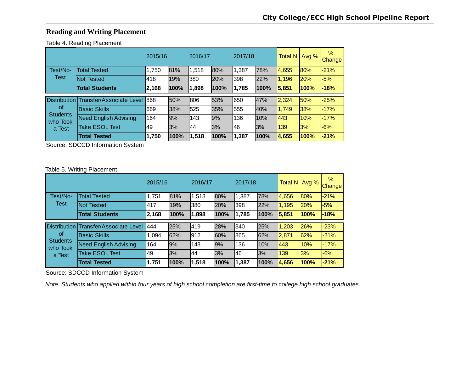## **Reading and Writing Placement**

#### Table 4. Reading Placement

|                             |                              | 2015/16 |      | 2016/17 |      | 2017/18 |      | Total N | Avg %      | $\%$<br>Change |
|-----------------------------|------------------------------|---------|------|---------|------|---------|------|---------|------------|----------------|
| Test/No-                    | <b>Total Tested</b>          | 1,750   | 81%  | 1,518   | 80%  | 1,387   | 78%  | 4,655   | <b>80%</b> | $-21%$         |
| Test                        | <b>Not Tested</b>            | 1418    | 19%  | 380     | 20%  | 1398    | 22%  | 1.196   | 20%        | $-5%$          |
|                             | <b>Total Students</b>        | 2,168   | 100% | 1,898   | 100% | 1,785   | 100% | 5,851   | 100%       | $-18%$         |
| <b>Distribution</b>         | Transfer/Associate Level     | 868     | 50%  | 806     | 53%  | 650     | 47%  | 2,324   | 50%        | $-25%$         |
| of                          | <b>IBasic Skills</b>         | 1669    | 38%  | 525     | 35%  | 1555    | 40%  | 1,749   | 38%        | $-17%$         |
| <b>Students</b><br>who Took | <b>Need English Advising</b> | 164     | 9%   | 143     | 9%   | 136     | 10%  | 443     | 10%        | $-17%$         |
| a Test                      | <b>Take ESOL Test</b>        | 49      | 3%   | 44      | 3%   | 46      | 3%   | 139     | 3%         | $-6%$          |
|                             | <b>Total Tested</b>          | 1,750   | 100% | 1,518   | 100% | 1,387   | 100% | 4,655   | 100%       | $-21%$         |

Source: SDCCD Information System

#### Table 5. Writing Placement

|                             |                              | 2015/16 |      | 2016/17 |      | 2017/18 |      |       | Total N $\vert$ Avg % | $\%$<br>Change |
|-----------------------------|------------------------------|---------|------|---------|------|---------|------|-------|-----------------------|----------------|
| Test/No-                    | <b>Total Tested</b>          | 1,751   | 81%  | 1,518   | 80%  | 1,387   | 78%  | 4,656 | <b>80%</b>            | $-21%$         |
| Test                        | Not Tested                   | 417     | 19%  | 380     | 20%  | 1398    | 22%  | 1.195 | <b>20%</b>            | $-5%$          |
|                             | <b>Total Students</b>        | 2,168   | 100% | 1,898   | 100% | 1.785   | 100% | 5,851 | 100%                  | $-18%$         |
| <b>Distribution</b>         | Transfer/Associate Level     | 444     | 25%  | 419     | 28%  | 340     | 25%  | 1,203 | <b>26%</b>            | $-23%$         |
| <b>of</b>                   | <b>Basic Skills</b>          | 1,094   | 62%  | 912     | 60%  | 1865    | 62%  | 2,871 | 62%                   | $-21%$         |
| <b>Students</b><br>who Took | <b>Need English Advising</b> | 164     | 9%   | 143     | 9%   | 136     | 10%  | 443   | 10%                   | $-17%$         |
| a Test                      | <b>Take ESOL Test</b>        | 49      | 3%   | 44      | 3%   | 146     | 3%   | 139   | 3%                    | $-6%$          |
|                             | <b>Total Tested</b>          | 1,751   | 100% | 1,518   | 100% | 1,387   | 100% | 4,656 | 100%                  | $-21%$         |

Source: SDCCD Information System

*Note. Students who applied within four years of high school completion are first-time to college high school graduates.*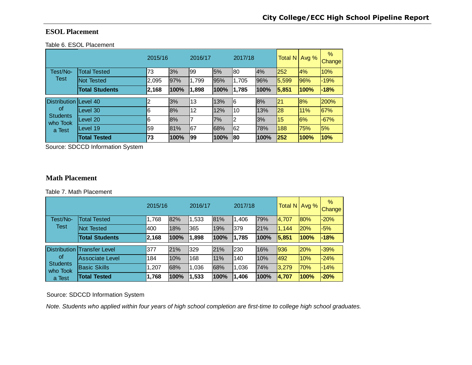#### **ESOL Placement**

Table 6. ESOL Placement

|                              |                       | 2015/16 |      | 2016/17 |      | 2017/18        |      | <b>Total N</b> | Avg $%$ | $\frac{9}{6}$<br>Change |
|------------------------------|-----------------------|---------|------|---------|------|----------------|------|----------------|---------|-------------------------|
| Test/No-                     | <b>Total Tested</b>   | 73      | 3%   | 99      | 5%   | 180            | 4%   | 252            | 4%      | 10%                     |
| <b>Test</b>                  | <b>Not Tested</b>     | 2,095   | 97%  | 1,799   | 95%  | 1,705          | 96%  | 5,599          | 96%     | $-19%$                  |
|                              | <b>Total Students</b> | 2,168   | 100% | 1,898   | 100% | 1,785          | 100% | 5,851          | 100%    | $-18%$                  |
| <b>Distribution Level 40</b> |                       | 2       | 3%   | 13      | 13%  | 16             | 8%   | 21             | 8%      | 200%                    |
| 0f                           | Level 30              | 6       | 8%   | 12      | 12%  | 10             | 13%  | <b>28</b>      | 11%     | 67%                     |
| <b>Students</b><br>who Took  | Level 20              | 6       | 8%   |         | 7%   | $\overline{2}$ | 3%   | 15             | 6%      | $-67%$                  |
| a Test                       | Level 19              | 59      | 81%  | 167     | 68%  | 162            | 78%  | 188            | 75%     | 5%                      |
|                              | <b>Total Tested</b>   | 73      | 100% | 199     | 100% | 180            | 100% | 252            | 100%    | 10%                     |

Source: SDCCD Information System

#### **Math Placement**

Table 7. Math Placement

|                             |                        | 2015/16 |      | 2016/17 |      | 2017/18 |      | Total N   Avg % |            | $\frac{9}{6}$<br>Change |
|-----------------------------|------------------------|---------|------|---------|------|---------|------|-----------------|------------|-------------------------|
| Test/No-                    | <b>Total Tested</b>    | 1,768   | 82%  | 1,533   | 81%  | 1,406   | 79%  | 4,707           | <b>80%</b> | $-20%$                  |
| Test                        | <b>Not Tested</b>      | 400     | 18%  | 365     | 19%  | 379     | 21%  | 1,144           | 20%        | $-5%$                   |
|                             | <b>Total Students</b>  | 2,168   | 100% | 1,898   | 100% | 1,785   | 100% | 5,851           | 100%       | $-18%$                  |
| <b>Distribution</b>         | <b>Transfer Level</b>  | 377     | 21%  | 329     | 21%  | 230     | 16%  | 936             | <b>20%</b> | -39%                    |
| 0f                          | <b>Associate Level</b> | 184     | 10%  | 168     | 11%  | 140     | 10%  | <b>492</b>      | 10%        | $-24%$                  |
| <b>Students</b><br>who Took | <b>Basic Skills</b>    | 1,207   | 68%  | 1,036   | 68%  | 1,036   | 74%  | 3,279           | 70%        | $-14%$                  |
| a Test                      | <b>Total Tested</b>    | 1,768   | 100% | 1,533   | 100% | 1,406   | 100% | 4,707           | 100%       | $-20%$                  |

Source: SDCCD Information System

*Note. Students who applied within four years of high school completion are first-time to college high school graduates.*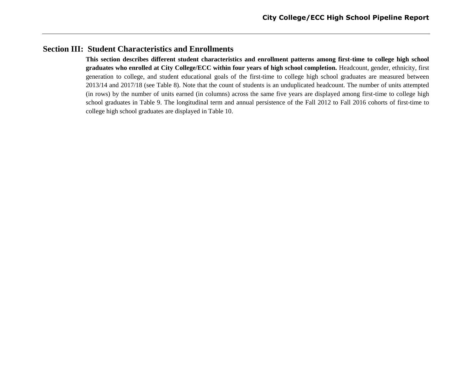## **Section III: Student Characteristics and Enrollments**

**This section describes different student characteristics and enrollment patterns among first-time to college high school graduates who enrolled at City College/ECC within four years of high school completion.** Headcount, gender, ethnicity, first generation to college, and student educational goals of the first-time to college high school graduates are measured between 2013/14 and 2017/18 (see Table 8). Note that the count of students is an unduplicated headcount. The number of units attempted (in rows) by the number of units earned (in columns) across the same five years are displayed among first-time to college high school graduates in Table 9. The longitudinal term and annual persistence of the Fall 2012 to Fall 2016 cohorts of first-time to college high school graduates are displayed in Table 10.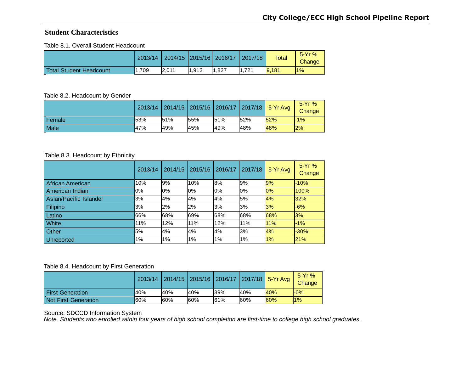#### **Student Characteristics**

Table 8.1. Overall Student Headcount

|                                |        |       |       | 2013/14 2014/15 2015/16 2016/17 2017/18 |      | <b>Total</b> | $5-Yr$ %<br>Change |
|--------------------------------|--------|-------|-------|-----------------------------------------|------|--------------|--------------------|
| <b>Total Student Headcount</b> | 709. ا | 2,011 | 1.913 | 1.827                                   | .721 | 9,181        | $1\%$              |

Table 8.2. Headcount by Gender

|        |      |     |     |     |     | 2013/14 2014/15 2015/16 2016/17 2017/18 5-Yr Avg | $5-Yr$ %<br>Change |
|--------|------|-----|-----|-----|-----|--------------------------------------------------|--------------------|
| Female | 53%  | 51% | 55% | 51% | 52% | 52%                                              | $-1%$              |
| Male   | 147% | 49% | 45% | 49% | 48% | 48%                                              | 2%                 |

#### Table 8.3. Headcount by Ethnicity

|                        | 2013/14 | 2014/15 | 2015/16 | 2016/17 | 2017/18 | 5-Yr Avg | 5-Yr%<br>Change |
|------------------------|---------|---------|---------|---------|---------|----------|-----------------|
| African American       | 10%     | 9%      | 10%     | 8%      | 9%      | 9%       | $-10%$          |
| American Indian        | 0%      | 0%      | 0%      | 0%      | 0%      | 0%       | 100%            |
| Asian/Pacific Islander | 3%      | 4%      | 4%      | 4%      | 5%      | 4%       | 32%             |
| Filipino               | 3%      | 2%      | 2%      | 3%      | 3%      | 3%       | $-6%$           |
| Latino                 | 66%     | 68%     | 69%     | 68%     | 68%     | 68%      | 3%              |
| White                  | 11%     | 12%     | 11%     | 12%     | 11%     | 11%      | $-1%$           |
| Other                  | 5%      | 4%      | 4%      | 4%      | 3%      | 4%       | $-30%$          |
| Unreported             | 1%      | 1%      | 1%      | 1%      | 1%      | $1\%$    | 21%             |

#### Table 8.4. Headcount by First Generation

|                         | 2013/14 |     |     |     |     | 2014/15 2015/16 2016/17 2017/18 5-Yr Avg | $5-Yr$ %<br>Change |
|-------------------------|---------|-----|-----|-----|-----|------------------------------------------|--------------------|
| <b>First Generation</b> | 40%     | 40% | 40% | 39% | 40% | 40%                                      | $-0%$              |
| Not First Generation    | 60%     | 60% | 60% | 61% | 60% | 60%                                      | $1\%$              |

Source: SDCCD Information System *Note. Students who enrolled within four years of high school completion are first-time to college high school graduates.*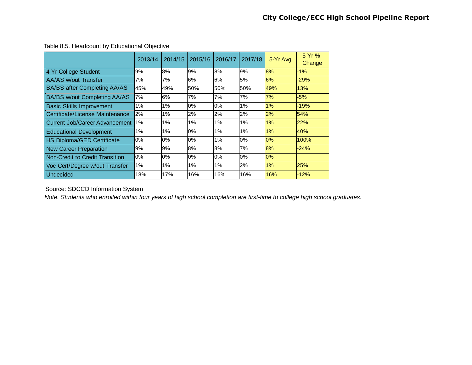|                                 | 2013/14 | 2014/15 | 2015/16 | 2016/17 | 2017/18 | 5-Yr Avg | $5-Yr$ %<br>Change |
|---------------------------------|---------|---------|---------|---------|---------|----------|--------------------|
| 4 Yr College Student            | 9%      | 8%      | 9%      | 8%      | 9%      | 8%       | $-1%$              |
| AA/AS w/out Transfer            | 7%      | 7%      | 6%      | 6%      | 5%      | 6%       | $-29%$             |
| BA/BS after Completing AA/AS    | 45%     | 49%     | 50%     | 50%     | 50%     | 49%      | 13%                |
| BA/BS w/out Completing AA/AS    | 7%      | 6%      | 7%      | 7%      | 7%      | 7%       | $-5%$              |
| <b>Basic Skills Improvement</b> | 1%      | 1%      | 0%      | 0%      | 1%      | 1%       | $-19%$             |
| Certificate/License Maintenance | 2%      | 1%      | 2%      | 2%      | 2%      | 2%       | 54%                |
| Current Job/Career Advancement  | 1%      | 1%      | 1%      | 1%      | 1%      | 1%       | 22%                |
| <b>Educational Development</b>  | 1%      | 1%      | 0%      | 1%      | 1%      | 1%       | 40%                |
| HS Diploma/GED Certificate      | 0%      | 0%      | 0%      | 1%      | 0%      | 0%       | 100%               |
| <b>New Career Preparation</b>   | 9%      | 9%      | 8%      | 8%      | 7%      | 8%       | $-24%$             |
| Non-Credit to Credit Transition | $0\%$   | 0%      | 0%      | 0%      | 0%      | 0%       |                    |
| Voc Cert/Degree w/out Transfer  | 1%      | 1%      | 1%      | 1%      | 2%      | 1%       | 25%                |
| <b>Undecided</b>                | 18%     | 17%     | 16%     | 16%     | 16%     | 16%      | $-12%$             |

Table 8.5. Headcount by Educational Objective

Source: SDCCD Information System

*Note. Students who enrolled within four years of high school completion are first-time to college high school graduates.*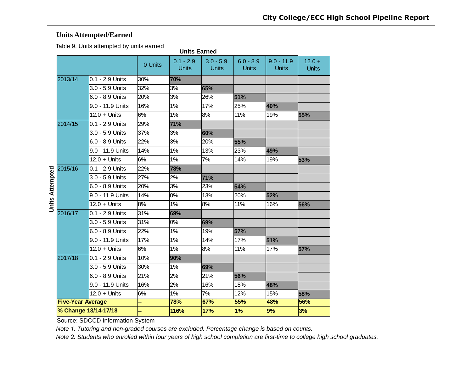#### **Units Attempted/Earned**

Table 9. Units attempted by units earned **Fig. 1** 

|                        | Units Earned             |                      |         |                             |                             |                             |                              |                          |  |  |
|------------------------|--------------------------|----------------------|---------|-----------------------------|-----------------------------|-----------------------------|------------------------------|--------------------------|--|--|
|                        |                          |                      | 0 Units | $0.1 - 2.9$<br><b>Units</b> | $3.0 - 5.9$<br><b>Units</b> | $6.0 - 8.9$<br><b>Units</b> | $9.0 - 11.9$<br><b>Units</b> | $12.0 +$<br><b>Units</b> |  |  |
|                        | 2013/14                  | 0.1 - 2.9 Units      | 30%     | 70%                         |                             |                             |                              |                          |  |  |
|                        |                          | 3.0 - 5.9 Units      | 32%     | 3%                          | 65%                         |                             |                              |                          |  |  |
|                        |                          | 6.0 - 8.9 Units      | 20%     | 3%                          | 26%                         | 51%                         |                              |                          |  |  |
|                        |                          | 9.0 - 11.9 Units     | 16%     | 1%                          | 17%                         | 25%                         | 40%                          |                          |  |  |
|                        |                          | $12.0 +$ Units       | 6%      | 1%                          | 8%                          | 11%                         | 19%                          | 55%                      |  |  |
|                        | 2014/15                  | 0.1 - 2.9 Units      | 29%     | 71%                         |                             |                             |                              |                          |  |  |
|                        |                          | 3.0 - 5.9 Units      | 37%     | 3%                          | 60%                         |                             |                              |                          |  |  |
|                        |                          | 6.0 - 8.9 Units      | 22%     | 3%                          | 20%                         | 55%                         |                              |                          |  |  |
|                        |                          | 9.0 - 11.9 Units     | 14%     | 1%                          | 13%                         | 23%                         | 49%                          |                          |  |  |
|                        |                          | $12.0 +$ Units       | 6%      | 1%                          | 7%                          | 14%                         | 19%                          | 53%                      |  |  |
|                        | 2015/16                  | 0.1 - 2.9 Units      | 22%     | 78%                         |                             |                             |                              |                          |  |  |
| <b>Units Attempted</b> |                          | 3.0 - 5.9 Units      | 27%     | 2%                          | <b>71%</b>                  |                             |                              |                          |  |  |
|                        |                          | 6.0 - 8.9 Units      | 20%     | 3%                          | 23%                         | 54%                         |                              |                          |  |  |
|                        |                          | 9.0 - 11.9 Units     | 14%     | 0%                          | 13%                         | 20%                         | 52%                          |                          |  |  |
|                        |                          | $12.0 +$ Units       | 8%      | 1%                          | 8%                          | 11%                         | 16%                          | 56%                      |  |  |
|                        | 2016/17                  | 0.1 - 2.9 Units      | 31%     | 69%                         |                             |                             |                              |                          |  |  |
|                        |                          | 3.0 - 5.9 Units      | 31%     | 0%                          | 69%                         |                             |                              |                          |  |  |
|                        |                          | 6.0 - 8.9 Units      | 22%     | 1%                          | 19%                         | 57%                         |                              |                          |  |  |
|                        |                          | 9.0 - 11.9 Units     | 17%     | 1%                          | 14%                         | 17%                         | 51%                          |                          |  |  |
|                        |                          | $12.0 +$ Units       | 6%      | 1%                          | 8%                          | 11%                         | 17%                          | 57%                      |  |  |
|                        | 2017/18                  | 0.1 - 2.9 Units      | 10%     | 90%                         |                             |                             |                              |                          |  |  |
|                        |                          | 3.0 - 5.9 Units      | 30%     | 1%                          | 69%                         |                             |                              |                          |  |  |
|                        |                          | 6.0 - 8.9 Units      | 21%     | 2%                          | 21%                         | 56%                         |                              |                          |  |  |
|                        |                          | 9.0 - 11.9 Units     | 16%     | 2%                          | 16%                         | 18%                         | 48%                          |                          |  |  |
|                        |                          | $12.0 +$ Units       | 6%      | 1%                          | 7%                          | 12%                         | 15%                          | 58%                      |  |  |
|                        | <b>Five-Year Average</b> |                      |         | 78%                         | 67%                         | 55%                         | 48%                          | 56%                      |  |  |
|                        |                          | % Change 13/14-17/18 |         | 116%                        | 17%                         | 1%                          | 9%                           | 3%                       |  |  |

Source: SDCCD Information System

*Note 1. Tutoring and non-graded courses are excluded. Percentage change is based on counts.*

*Note 2. Students who enrolled within four years of high school completion are first-time to college high school graduates.*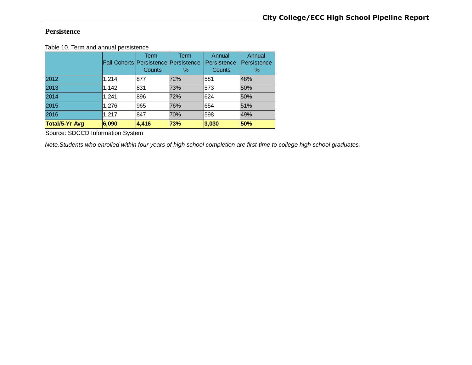#### **Persistence**

Table 10. Term and annual persistence

|                | Fall Cohorts Persistence Persistence | Term<br>Counts | Term<br>℅ | Annual<br>Persistence<br>Counts | Annual<br>Persistence<br>$\%$ |
|----------------|--------------------------------------|----------------|-----------|---------------------------------|-------------------------------|
| 2012           | 1,214                                | 877            | 72%       | 581                             | 48%                           |
| 2013           | 1,142                                | 831            | 73%       | 573                             | 50%                           |
| 2014           | 1,241                                | 896            | 72%       | 624                             | 50%                           |
| 2015           | 1,276                                | 965            | 76%       | 654                             | 51%                           |
| 2016           | 1,217                                | 847            | 70%       | 598                             | 49%                           |
| Total/5-Yr Avg | 6,090                                | 4,416          | 73%       | 3,030                           | 50%                           |

Source: SDCCD Information System

*Note.Students who enrolled within four years of high school completion are first-time to college high school graduates.*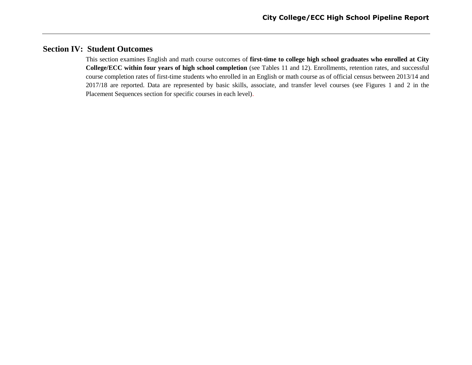## <span id="page-21-0"></span>**Section IV: Student Outcomes**

This section examines English and math course outcomes of **first-time to college high school graduates who enrolled at City College/ECC within four years of high school completion** (see Tables 11 and 12). Enrollments, retention rates, and successful course completion rates of first-time students who enrolled in an English or math course as of official census between 2013/14 and 2017/18 are reported. Data are represented by basic skills, associate, and transfer level courses (see Figures 1 and 2 in the Placement Sequences section for specific courses in each level).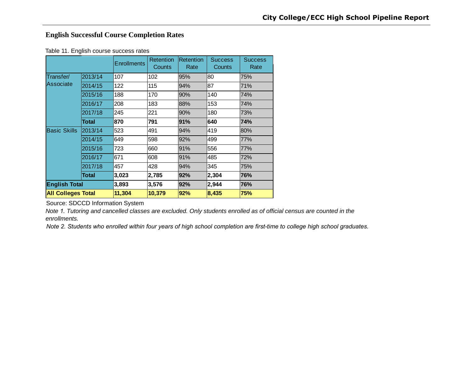#### **English Successful Course Completion Rates**

Table 11. English course success rates

|                           |         | <b>Enrollments</b> | Retention<br><b>Counts</b> | <b>Retention</b><br>Rate | <b>Success</b><br><b>Counts</b> | Success<br>Rate |
|---------------------------|---------|--------------------|----------------------------|--------------------------|---------------------------------|-----------------|
| Transfer/                 | 2013/14 | 107                | 102                        | 95%                      | 80                              | 75%             |
| Associate                 | 2014/15 | 122                | 115                        | 94%                      | 87                              | 71%             |
|                           | 2015/16 | 188                | 170                        | 90%                      | 140                             | 74%             |
|                           | 2016/17 | 208                | 183                        | 88%                      | 153                             | 74%             |
|                           | 2017/18 | 245                | 221                        | 90%                      | 180                             | 73%             |
|                           | Total   | 870                | 791                        | 91%                      | 640                             | 74%             |
| <b>Basic Skills</b>       | 2013/14 | 523                | 491                        | 94%                      | 419                             | 80%             |
|                           | 2014/15 | 649                | 598                        | 92%                      | 499                             | 77%             |
|                           | 2015/16 | 723                | 660                        | 91%                      | 556                             | 77%             |
|                           | 2016/17 | 671                | 608                        | 91%                      | 485                             | 72%             |
|                           | 2017/18 | 457                | 428                        | 94%                      | 345                             | 75%             |
|                           | Total   | 3,023              | 2,785                      | 92%                      | 2,304                           | 76%             |
| <b>English Total</b>      |         | 3,893              | 3,576                      | 92%                      | 2,944                           | 76%             |
| <b>All Colleges Total</b> |         | 11,304             | 10,379                     | 92%                      | 8,435                           | 75%             |

Source: SDCCD Information System

 *Note 1. Tutoring and cancelled classes are excluded. Only students enrolled as of official census are counted in the enrollments.* 

*Note 2. Students who enrolled within four years of high school completion are first-time to college high school graduates.*